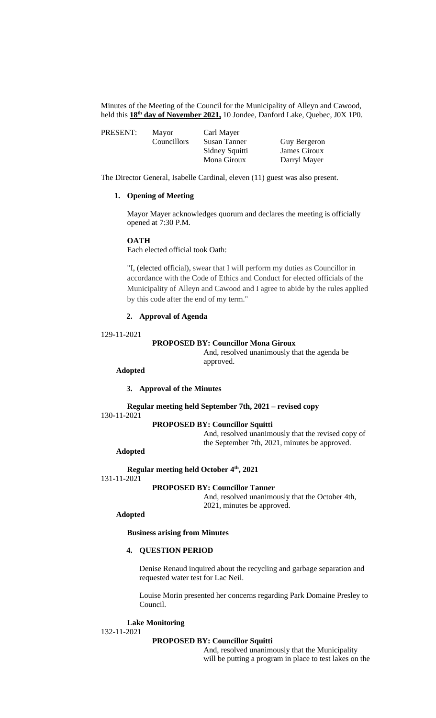Minutes of the Meeting of the Council for the Municipality of Alleyn and Cawood, held this **18th day of November 2021,** 10 Jondee, Danford Lake, Quebec, J0X 1P0.

| PRESENT: | Mayor       | Carl Mayer     |              |
|----------|-------------|----------------|--------------|
|          | Councillors | Susan Tanner   | Guy Bergeron |
|          |             | Sidney Squitti | James Giroux |
|          |             | Mona Giroux    | Darryl Mayer |

The Director General, Isabelle Cardinal, eleven (11) guest was also present.

# **1. Opening of Meeting**

Mayor Mayer acknowledges quorum and declares the meeting is officially opened at 7:30 P.M.

#### **OATH**

Each elected official took Oath:

"I, (elected official), swear that I will perform my duties as Councillor in accordance with the Code of Ethics and Conduct for elected officials of the Municipality of Alleyn and Cawood and I agree to abide by the rules applied by this code after the end of my term."

# **2. Approval of Agenda**

#### 129-11-2021

#### **PROPOSED BY: Councillor Mona Giroux**

And, resolved unanimously that the agenda be approved.

## **Adopted**

#### **3. Approval of the Minutes**

**Regular meeting held September 7th, 2021 – revised copy** 130-11-2021

## **PROPOSED BY: Councillor Squitti**

And, resolved unanimously that the revised copy of the September 7th, 2021, minutes be approved.

## **Adopted**

**Regular meeting held October 4th , 2021**

```
131-11-2021
```
#### **PROPOSED BY: Councillor Tanner**

And, resolved unanimously that the October 4th, 2021, minutes be approved.

#### **Adopted**

**Business arising from Minutes**

# **4. QUESTION PERIOD**

Denise Renaud inquired about the recycling and garbage separation and requested water test for Lac Neil.

Louise Morin presented her concerns regarding Park Domaine Presley to Council.

## **Lake Monitoring** 132-11-2021

#### **PROPOSED BY: Councillor Squitti**

And, resolved unanimously that the Municipality will be putting a program in place to test lakes on the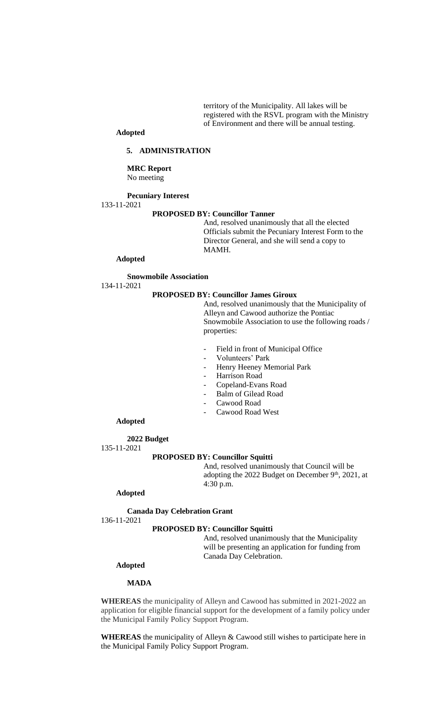territory of the Municipality. All lakes will be registered with the RSVL program with the Ministry of Environment and there will be annual testing.

# **Adopted**

#### **5. ADMINISTRATION**

## **MRC Report** No meeting

#### **Pecuniary Interest**

133-11-2021

#### **PROPOSED BY: Councillor Tanner**

And, resolved unanimously that all the elected Officials submit the Pecuniary Interest Form to the Director General, and she will send a copy to MAMH.

#### **Adopted**

#### **Snowmobile Association**

134-11-2021

## **PROPOSED BY: Councillor James Giroux**

And, resolved unanimously that the Municipality of Alleyn and Cawood authorize the Pontiac Snowmobile Association to use the following roads / properties:

- Field in front of Municipal Office
- Volunteers' Park
- Henry Heeney Memorial Park
- Harrison Road
- Copeland-Evans Road
- Balm of Gilead Road
- Cawood Road
- Cawood Road West

## **Adopted**

**2022 Budget** 135-11-2021

#### **PROPOSED BY: Councillor Squitti**

And, resolved unanimously that Council will be adopting the 2022 Budget on December 9<sup>th</sup>, 2021, at 4:30 p.m.

## **Adopted**

**Canada Day Celebration Grant**

136-11-2021

## **PROPOSED BY: Councillor Squitti**

And, resolved unanimously that the Municipality will be presenting an application for funding from Canada Day Celebration.

# **Adopted**

## **MADA**

**WHEREAS** the municipality of Alleyn and Cawood has submitted in 2021-2022 an application for eligible financial support for the development of a family policy under the Municipal Family Policy Support Program.

**WHEREAS** the municipality of Alleyn & Cawood still wishes to participate here in the Municipal Family Policy Support Program.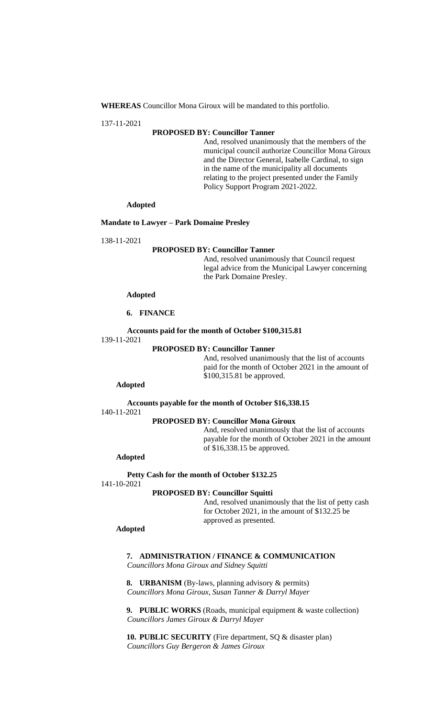**WHEREAS** Councillor Mona Giroux will be mandated to this portfolio.

137-11-2021

## **PROPOSED BY: Councillor Tanner**

And, resolved unanimously that the members of the municipal council authorize Councillor Mona Giroux and the Director General, Isabelle Cardinal, to sign in the name of the municipality all documents relating to the project presented under the Family Policy Support Program 2021-2022.

#### **Adopted**

#### **Mandate to Lawyer – Park Domaine Presley**

138-11-2021

#### **PROPOSED BY: Councillor Tanner**

And, resolved unanimously that Council request legal advice from the Municipal Lawyer concerning the Park Domaine Presley.

#### **Adopted**

#### **6. FINANCE**

## **Accounts paid for the month of October \$100,315.81**

139-11-2021

#### **PROPOSED BY: Councillor Tanner**

And, resolved unanimously that the list of accounts paid for the month of October 2021 in the amount of \$100,315.81 be approved.

#### **Adopted**

**Accounts payable for the month of October \$16,338.15** 140-11-2021

# **PROPOSED BY: Councillor Mona Giroux**

And, resolved unanimously that the list of accounts payable for the month of October 2021 in the amount of \$16,338.15 be approved.

## **Adopted**

**Petty Cash for the month of October \$132.25**

141-10-2021

## **PROPOSED BY: Councillor Squitti**

And, resolved unanimously that the list of petty cash for October 2021, in the amount of \$132.25 be approved as presented.

#### **Adopted**

**7. ADMINISTRATION / FINANCE & COMMUNICATION** *Councillors Mona Giroux and Sidney Squitti*

**8. URBANISM** (By-laws, planning advisory & permits) *Councillors Mona Giroux, Susan Tanner & Darryl Mayer*

**9. PUBLIC WORKS** (Roads, municipal equipment & waste collection) *Councillors James Giroux & Darryl Mayer*

**10. PUBLIC SECURITY** (Fire department, SQ & disaster plan) *Councillors Guy Bergeron & James Giroux*